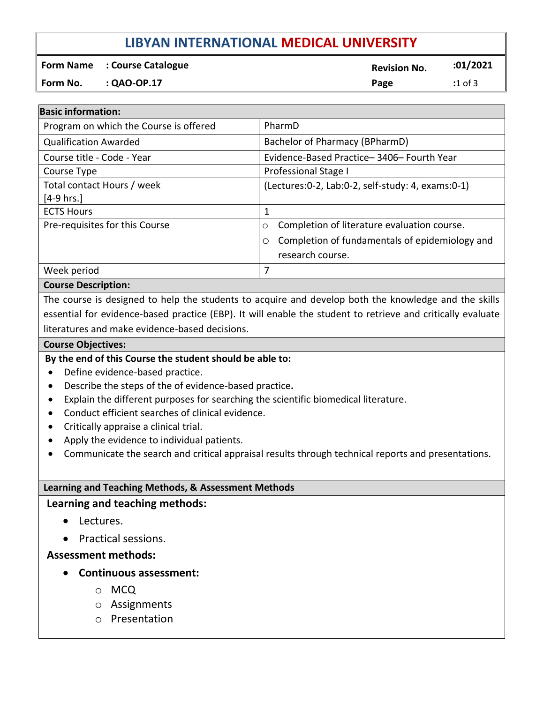# **LIBYAN INTERNATIONAL MEDICAL UNIVERSITY**

**Form Name** : Course Catalogue *Course* Catalogue **Revision No. 201/2021 Form No. : QAO-OP.17 Page :**1 of 3

| <b>Basic information:</b>              |                                                      |  |  |
|----------------------------------------|------------------------------------------------------|--|--|
| Program on which the Course is offered | PharmD                                               |  |  |
| <b>Qualification Awarded</b>           | Bachelor of Pharmacy (BPharmD)                       |  |  |
| Course title - Code - Year             | Evidence-Based Practice-3406-Fourth Year             |  |  |
| Course Type                            | Professional Stage I                                 |  |  |
| Total contact Hours / week             | (Lectures: 0-2, Lab: 0-2, self-study: 4, exams: 0-1) |  |  |
| $[4-9 hrs.]$                           |                                                      |  |  |
| <b>ECTS Hours</b>                      | 1                                                    |  |  |
| Pre-requisites for this Course         | Completion of literature evaluation course.<br>O     |  |  |
|                                        | Completion of fundamentals of epidemiology and<br>O  |  |  |
|                                        | research course.                                     |  |  |
| Week period                            | 7                                                    |  |  |

### **Course Description:**

The course is designed to help the students to acquire and develop both the knowledge and the skills essential for evidence-based practice (EBP). It will enable the student to retrieve and critically evaluate literatures and make evidence-based decisions.

#### **Course Objectives:**

### **By the end of this Course the student should be able to:**

- Define evidence-based practice.
- Describe the steps of the of evidence-based practice**.**
- Explain the different purposes for searching the scientific biomedical literature.
- Conduct efficient searches of clinical evidence.
- Critically appraise a clinical trial.
- Apply the evidence to individual patients.
- Communicate the search and critical appraisal results through technical reports and presentations.

### **Learning and Teaching Methods, & Assessment Methods**

### **Learning and teaching methods:**

- Lectures.
- Practical sessions.

**Assessment methods:**

- **Continuous assessment:**
	- o MCQ
	- o Assignments
	- o Presentation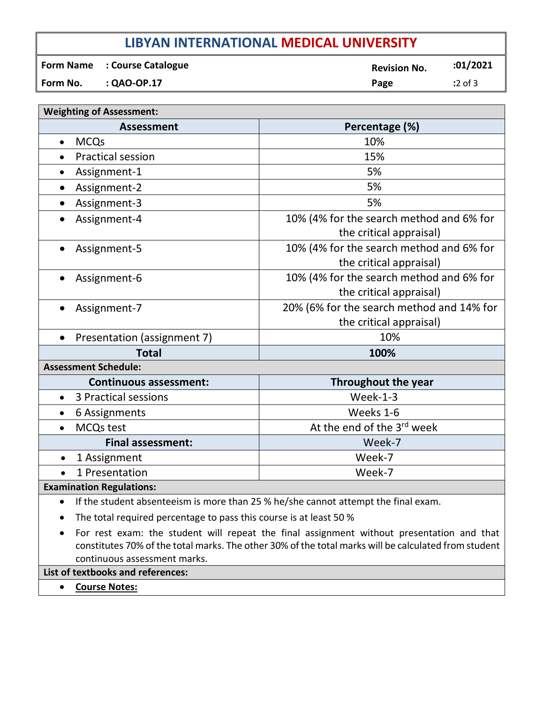# **LIBYAN INTERNATIONAL MEDICAL UNIVERSITY**

|          | <b>Form Name : Course Catalogue</b> | <b>Revision No.</b> | :01/2021  |
|----------|-------------------------------------|---------------------|-----------|
| Form No. | $: QAO-OP.17$                       | Page                | $:2$ of 3 |

| <b>Weighting of Assessment:</b>   |                                                                                    |  |  |  |
|-----------------------------------|------------------------------------------------------------------------------------|--|--|--|
| <b>Assessment</b>                 | Percentage (%)                                                                     |  |  |  |
| <b>MCQs</b><br>$\bullet$          | 10%                                                                                |  |  |  |
| <b>Practical session</b>          | 15%                                                                                |  |  |  |
| Assignment-1                      | 5%                                                                                 |  |  |  |
| Assignment-2                      | 5%                                                                                 |  |  |  |
| Assignment-3                      | 5%                                                                                 |  |  |  |
| Assignment-4                      | 10% (4% for the search method and 6% for<br>the critical appraisal)                |  |  |  |
| Assignment-5                      | 10% (4% for the search method and 6% for<br>the critical appraisal)                |  |  |  |
| Assignment-6                      | 10% (4% for the search method and 6% for<br>the critical appraisal)                |  |  |  |
| Assignment-7                      | 20% (6% for the search method and 14% for<br>the critical appraisal)               |  |  |  |
| Presentation (assignment 7)       | 10%                                                                                |  |  |  |
| <b>Total</b>                      | 100%                                                                               |  |  |  |
| <b>Assessment Schedule:</b>       |                                                                                    |  |  |  |
| <b>Continuous assessment:</b>     | <b>Throughout the year</b>                                                         |  |  |  |
| 3 Practical sessions<br>$\bullet$ | Week-1-3                                                                           |  |  |  |
| 6 Assignments                     | Weeks 1-6                                                                          |  |  |  |
| <b>MCQs test</b>                  | At the end of the 3 <sup>rd</sup> week                                             |  |  |  |
| <b>Final assessment:</b>          | Week-7                                                                             |  |  |  |
| 1 Assignment<br>$\bullet$         | Week-7                                                                             |  |  |  |
| 1 Presentation<br>$\bullet$       | Week-7                                                                             |  |  |  |
| <b>Examination Regulations:</b>   |                                                                                    |  |  |  |
| $\bullet$                         | If the student absenteeism is more than 25 % he/she cannot attempt the final exam. |  |  |  |

- The total required percentage to pass this course is at least 50 %
- For rest exam: the student will repeat the final assignment without presentation and that constitutes 70% of the total marks. The other 30% of the total marks will be calculated from student continuous assessment marks.

**List of textbooks and references:**

• **Course Notes:**